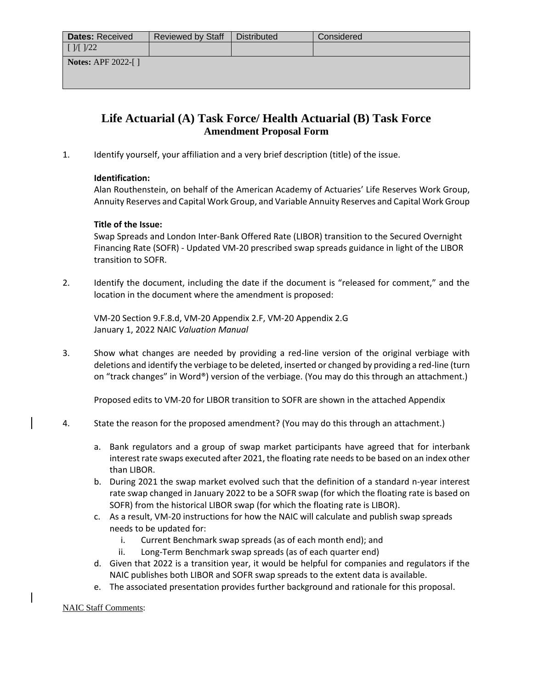| <b>Dates: Received</b>     | <b>Reviewed by Staff</b> | Distributed | Considered |
|----------------------------|--------------------------|-------------|------------|
| $\lceil$  /[ $\lceil$  /22 |                          |             |            |
| Notes: APF 2022-[]         |                          |             |            |
|                            |                          |             |            |
|                            |                          |             |            |

# **Life Actuarial (A) Task Force/ Health Actuarial (B) Task Force Amendment Proposal Form**

1. Identify yourself, your affiliation and a very brief description (title) of the issue.

## **Identification:**

Alan Routhenstein, on behalf of the American Academy of Actuaries' Life Reserves Work Group, Annuity Reserves and Capital Work Group, and Variable Annuity Reserves and Capital Work Group

## **Title of the Issue:**

Swap Spreads and London Inter-Bank Offered Rate (LIBOR) transition to the Secured Overnight Financing Rate (SOFR) - Updated VM-20 prescribed swap spreads guidance in light of the LIBOR transition to SOFR.

2. Identify the document, including the date if the document is "released for comment," and the location in the document where the amendment is proposed:

VM-20 Section 9.F.8.d, VM-20 Appendix 2.F, VM-20 Appendix 2.G January 1, 2022 NAIC *Valuation Manual*

3. Show what changes are needed by providing a red-line version of the original verbiage with deletions and identify the verbiage to be deleted, inserted or changed by providing a red-line (turn on "track changes" in Word®) version of the verbiage. (You may do this through an attachment.)

Proposed edits to VM-20 for LIBOR transition to SOFR are shown in the attached Appendix

- 4. State the reason for the proposed amendment? (You may do this through an attachment.)
	- a. Bank regulators and a group of swap market participants have agreed that for interbank interest rate swaps executed after 2021, the floating rate needs to be based on an index other than LIBOR.
	- b. During 2021 the swap market evolved such that the definition of a standard n-year interest rate swap changed in January 2022 to be a SOFR swap (for which the floating rate is based on SOFR) from the historical LIBOR swap (for which the floating rate is LIBOR).
	- c. As a result, VM-20 instructions for how the NAIC will calculate and publish swap spreads needs to be updated for:
		- i. Current Benchmark swap spreads (as of each month end); and
		- ii. Long-Term Benchmark swap spreads (as of each quarter end)
	- d. Given that 2022 is a transition year, it would be helpful for companies and regulators if the NAIC publishes both LIBOR and SOFR swap spreads to the extent data is available.
	- e. The associated presentation provides further background and rationale for this proposal.

NAIC Staff Comments: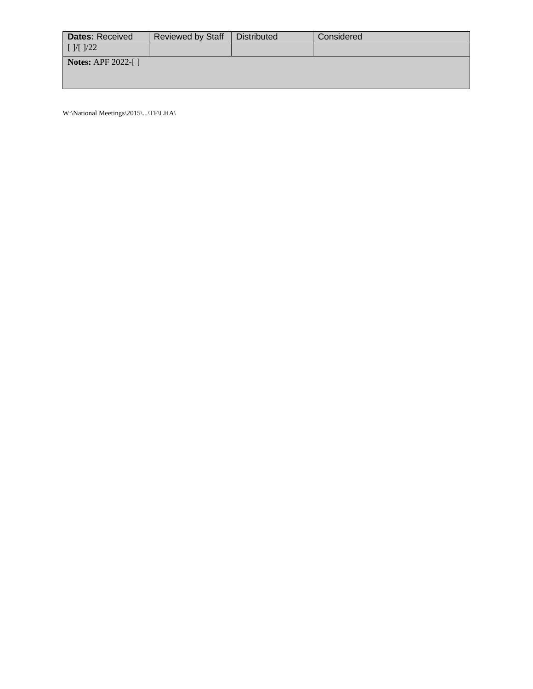| <b>Dates: Received</b>        | Reviewed by Staff | Distributed | Considered |
|-------------------------------|-------------------|-------------|------------|
| $\left[ \frac{1}{22} \right]$ |                   |             |            |
| Notes: APF 2022-[]            |                   |             |            |
|                               |                   |             |            |
|                               |                   |             |            |

 $W:\N$ i<br/>onal Meetings\2015\...\TF\LHA\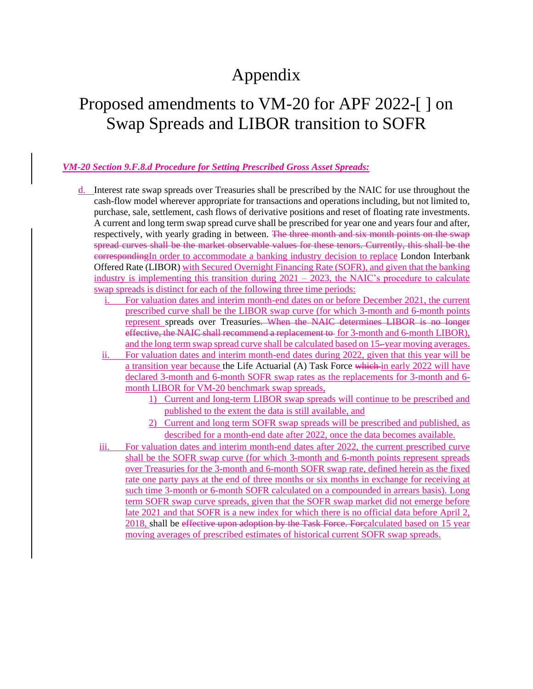# Appendix

# Proposed amendments to VM-20 for APF 2022-[ ] on Swap Spreads and LIBOR transition to SOFR

### *VM-20 Section 9.F.8.d Procedure for Setting Prescribed Gross Asset Spreads:*

- d. Interest rate swap spreads over Treasuries shall be prescribed by the NAIC for use throughout the cash-flow model wherever appropriate for transactions and operations including, but not limited to, purchase, sale, settlement, cash flows of derivative positions and reset of floating rate investments. A current and long term swap spread curve shall be prescribed for year one and years four and after, respectively, with yearly grading in between. The three month and six month points on the swap spread curves shall be the market observable values for these tenors. Currently, this shall be the correspondingIn order to accommodate a banking industry decision to replace London Interbank Offered Rate (LIBOR) with Secured Overnight Financing Rate (SOFR), and given that the banking industry is implementing this transition during  $2021 - 2023$ , the NAIC's procedure to calculate swap spreads is distinct for each of the following three time periods:
	- For valuation dates and interim month-end dates on or before December 2021, the current prescribed curve shall be the LIBOR swap curve (for which 3-month and 6-month points represent spreads over Treasuries. When the NAIC determines LIBOR is no longer effective, the NAIC shall recommend a replacement to for 3-month and 6-month LIBOR), and the long term swap spread curve shall be calculated based on 15 -year moving averages.
	- ii. For valuation dates and interim month-end dates during 2022, given that this year will be a transition year because the Life Actuarial (A) Task Force which in early 2022 will have declared 3-month and 6-month SOFR swap rates as the replacements for 3-month and 6 month LIBOR for VM-20 benchmark swap spreads,
		- 1) Current and long-term LIBOR swap spreads will continue to be prescribed and published to the extent the data is still available, and
		- 2) Current and long term SOFR swap spreads will be prescribed and published, as described for a month-end date after 2022, once the data becomes available.
	- iii. For valuation dates and interim month-end dates after 2022, the current prescribed curve shall be the SOFR swap curve (for which 3-month and 6-month points represent spreads over Treasuries for the 3-month and 6-month SOFR swap rate, defined herein as the fixed rate one party pays at the end of three months or six months in exchange for receiving at such time 3-month or 6-month SOFR calculated on a compounded in arrears basis). Long term SOFR swap curve spreads, given that the SOFR swap market did not emerge before late 2021 and that SOFR is a new index for which there is no official data before April 2, 2018, shall be effective upon adoption by the Task Force. Forcalculated based on 15 year moving averages of prescribed estimates of historical current SOFR swap spreads.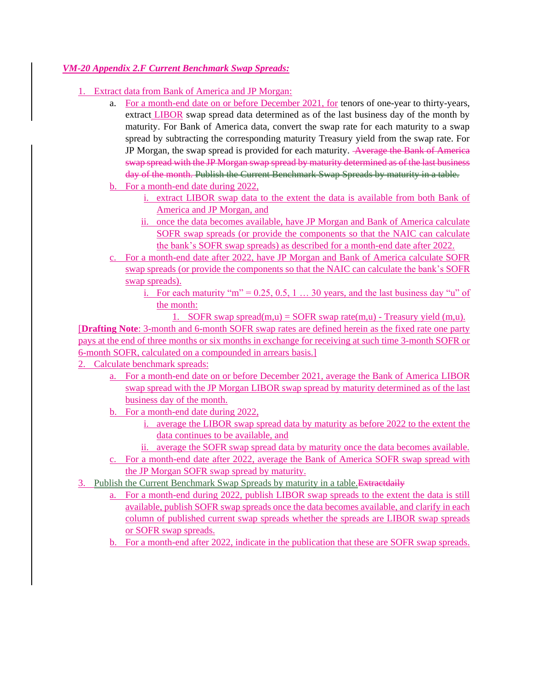# *VM-20 Appendix 2.F Current Benchmark Swap Spreads:*

- 1. Extract data from Bank of America and JP Morgan:
	- a. For a month-end date on or before December 2021, for tenors of one-year to thirty-years, extract LIBOR swap spread data determined as of the last business day of the month by maturity. For Bank of America data, convert the swap rate for each maturity to a swap spread by subtracting the corresponding maturity Treasury yield from the swap rate. For JP Morgan, the swap spread is provided for each maturity. Average the Bank of America swap spread with the JP Morgan swap spread by maturity determined as of the last business day of the month. Publish the Current Benchmark Swap Spreads by maturity in a table.
	- b. For a month-end date during 2022,
		- i. extract LIBOR swap data to the extent the data is available from both Bank of America and JP Morgan, and
		- ii. once the data becomes available, have JP Morgan and Bank of America calculate SOFR swap spreads (or provide the components so that the NAIC can calculate the bank's SOFR swap spreads) as described for a month-end date after 2022.
	- c. For a month-end date after 2022, have JP Morgan and Bank of America calculate SOFR swap spreads (or provide the components so that the NAIC can calculate the bank's SOFR swap spreads).
		- i. For each maturity "m" =  $0.25, 0.5, 1...$  30 years, and the last business day "u" of the month:
			- 1. SOFR swap spread $(m,u)$  = SOFR swap rate $(m,u)$  Treasury yield  $(m,u)$ .

[**Drafting Note**: 3-month and 6-month SOFR swap rates are defined herein as the fixed rate one party pays at the end of three months or six months in exchange for receiving at such time 3-month SOFR or 6-month SOFR, calculated on a compounded in arrears basis.]

- 2. Calculate benchmark spreads:
	- a. For a month-end date on or before December 2021, average the Bank of America LIBOR swap spread with the JP Morgan LIBOR swap spread by maturity determined as of the last business day of the month.
	- b. For a month-end date during 2022,
		- i. average the LIBOR swap spread data by maturity as before 2022 to the extent the data continues to be available, and
		- ii. average the SOFR swap spread data by maturity once the data becomes available.
	- c. For a month-end date after 2022, average the Bank of America SOFR swap spread with the JP Morgan SOFR swap spread by maturity.
- 3. Publish the Current Benchmark Swap Spreads by maturity in a table. Extractdaily
	- a. For a month-end during 2022, publish LIBOR swap spreads to the extent the data is still available, publish SOFR swap spreads once the data becomes available, and clarify in each column of published current swap spreads whether the spreads are LIBOR swap spreads or SOFR swap spreads.
	- b. For a month-end after 2022, indicate in the publication that these are SOFR swap spreads.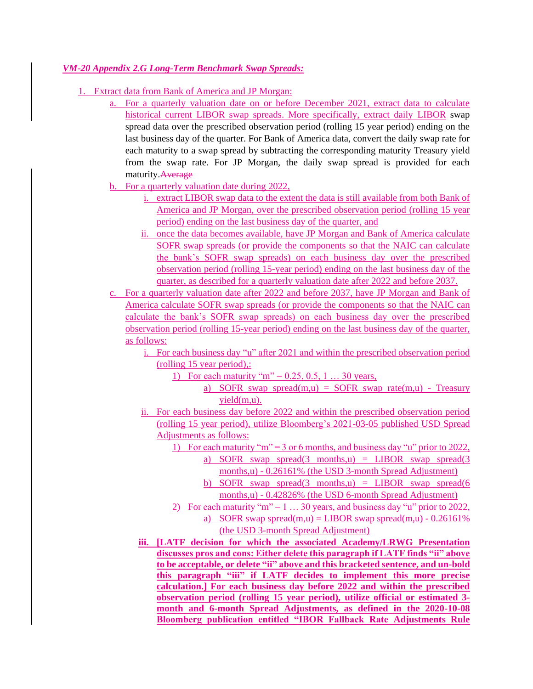### *VM-20 Appendix 2.G Long-Term Benchmark Swap Spreads:*

- 1. Extract data from Bank of America and JP Morgan:
	- a. For a quarterly valuation date on or before December 2021, extract data to calculate historical current LIBOR swap spreads. More specifically, extract daily LIBOR swap spread data over the prescribed observation period (rolling 15 year period) ending on the last business day of the quarter. For Bank of America data, convert the daily swap rate for each maturity to a swap spread by subtracting the corresponding maturity Treasury yield from the swap rate. For JP Morgan, the daily swap spread is provided for each maturity.Average
	- b. For a quarterly valuation date during 2022,
		- i. extract LIBOR swap data to the extent the data is still available from both Bank of America and JP Morgan, over the prescribed observation period (rolling 15 year period) ending on the last business day of the quarter, and
		- ii. once the data becomes available, have JP Morgan and Bank of America calculate SOFR swap spreads (or provide the components so that the NAIC can calculate the bank's SOFR swap spreads) on each business day over the prescribed observation period (rolling 15-year period) ending on the last business day of the quarter, as described for a quarterly valuation date after 2022 and before 2037.
	- c. For a quarterly valuation date after 2022 and before 2037, have JP Morgan and Bank of America calculate SOFR swap spreads (or provide the components so that the NAIC can calculate the bank's SOFR swap spreads) on each business day over the prescribed observation period (rolling 15-year period) ending on the last business day of the quarter, as follows:
		- i. For each business day "u" after 2021 and within the prescribed observation period (rolling 15 year period),:
			- 1) For each maturity "m" =  $0.25, 0.5, 1...$  30 years,
				- a) SOFR swap spread $(m,u)$  = SOFR swap rate $(m,u)$  Treasury yield(m,u).
		- ii. For each business day before 2022 and within the prescribed observation period (rolling 15 year period), utilize Bloomberg's 2021-03-05 published USD Spread Adjustments as follows:
			- 1) For each maturity "m" = 3 or 6 months, and business day "u" prior to 2022, a) SOFR swap spread(3 months,u) = LIBOR swap spread(3 months,u) - 0.26161% (the USD 3-month Spread Adjustment)
				- b) SOFR swap spread(3 months,u) = LIBOR swap spread(6 months,u) - 0.42826% (the USD 6-month Spread Adjustment)
			- 2) For each maturity "m" =  $1 \dots 30$  years, and business day "u" prior to 2022, a) SOFR swap spread $(m, u) = LIBOR$  swap spread $(m, u) - 0.26161\%$ (the USD 3-month Spread Adjustment)
		- **iii. [LATF decision for which the associated Academy/LRWG Presentation discusses pros and cons: Either delete this paragraph if LATF finds "ii" above to be acceptable, or delete "ii" above and this bracketed sentence, and un-bold this paragraph "iii" if LATF decides to implement this more precise calculation.] For each business day before 2022 and within the prescribed observation period (rolling 15 year period), utilize official or estimated 3 month and 6-month Spread Adjustments, as defined in the 2020-10-08 Bloomberg publication entitled "IBOR Fallback Rate Adjustments Rule**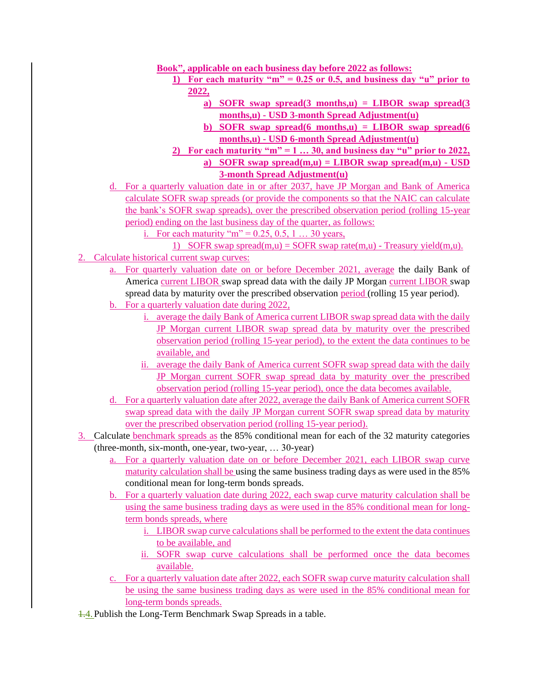**Book", applicable on each business day before 2022 as follows:**

- 1) For each maturity "m"  $= 0.25$  or 0.5, and business day "u" prior to **2022,** 
	- **a) SOFR swap spread(3 months,u) = LIBOR swap spread(3 months,u) - USD 3-month Spread Adjustment(u)**
	- **b) SOFR** swap spread(6 months,u) = LIBOR swap spread(6 **months,u) - USD 6-month Spread Adjustment(u)**
- **2)** For each maturity "m" =  $1 \dots 30$ , and business day "u" prior to 2022, **a) SOFR swap spread(m,u) = LIBOR swap spread(m,u) - USD 3-month Spread Adjustment(u)**
- d. For a quarterly valuation date in or after 2037, have JP Morgan and Bank of America calculate SOFR swap spreads (or provide the components so that the NAIC can calculate the bank's SOFR swap spreads), over the prescribed observation period (rolling 15-year period) ending on the last business day of the quarter, as follows:
	- i. For each maturity "m" =  $0.25, 0.5, 1...$  30 years,
		- 1) SOFR swap spread $(m,u)$  = SOFR swap rate $(m,u)$  Treasury yield $(m,u)$ .
- 2. Calculate historical current swap curves:
	- a. For quarterly valuation date on or before December 2021, average the daily Bank of America current LIBOR swap spread data with the daily JP Morgan current LIBOR swap spread data by maturity over the prescribed observation period (rolling 15 year period).
	- b. For a quarterly valuation date during 2022,
		- i. average the daily Bank of America current LIBOR swap spread data with the daily JP Morgan current LIBOR swap spread data by maturity over the prescribed observation period (rolling 15-year period), to the extent the data continues to be available, and
		- ii. average the daily Bank of America current SOFR swap spread data with the daily JP Morgan current SOFR swap spread data by maturity over the prescribed observation period (rolling 15-year period), once the data becomes available.
	- d. For a quarterly valuation date after 2022, average the daily Bank of America current SOFR swap spread data with the daily JP Morgan current SOFR swap spread data by maturity over the prescribed observation period (rolling 15-year period).
- 3. Calculate benchmark spreads as the 85% conditional mean for each of the 32 maturity categories (three-month, six-month, one-year, two-year, … 30-year)
	- a. For a quarterly valuation date on or before December 2021, each LIBOR swap curve maturity calculation shall be using the same business trading days as were used in the 85% conditional mean for long-term bonds spreads.
	- b. For a quarterly valuation date during 2022, each swap curve maturity calculation shall be using the same business trading days as were used in the 85% conditional mean for longterm bonds spreads, where
		- i. LIBOR swap curve calculations shall be performed to the extent the data continues to be available, and
		- ii. SOFR swap curve calculations shall be performed once the data becomes available.
	- c. For a quarterly valuation date after 2022, each SOFR swap curve maturity calculation shall be using the same business trading days as were used in the 85% conditional mean for long-term bonds spreads.
- 1.4.Publish the Long-Term Benchmark Swap Spreads in a table.